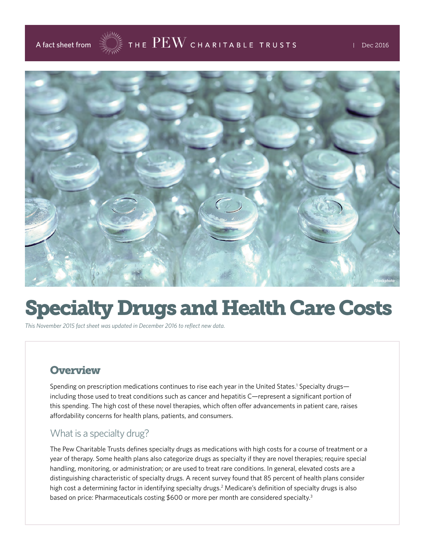



# Specialty Drugs and Health Care Costs

*This November 2015 fact sheet was updated in December 2016 to reflect new data.*

#### **Overview**

Spending on prescription medications continues to rise each year in the United States.<sup>1</sup> Specialty drugs including those used to treat conditions such as cancer and hepatitis C—represent a significant portion of this spending. The high cost of these novel therapies, which often offer advancements in patient care, raises affordability concerns for health plans, patients, and consumers.

#### What is a specialty drug?

The Pew Charitable Trusts defines specialty drugs as medications with high costs for a course of treatment or a year of therapy. Some health plans also categorize drugs as specialty if they are novel therapies; require special handling, monitoring, or administration; or are used to treat rare conditions. In general, elevated costs are a distinguishing characteristic of specialty drugs. A recent survey found that 85 percent of health plans consider high cost a determining factor in identifying specialty drugs.<sup>2</sup> Medicare's definition of specialty drugs is also based on price: Pharmaceuticals costing \$600 or more per month are considered specialty.<sup>3</sup>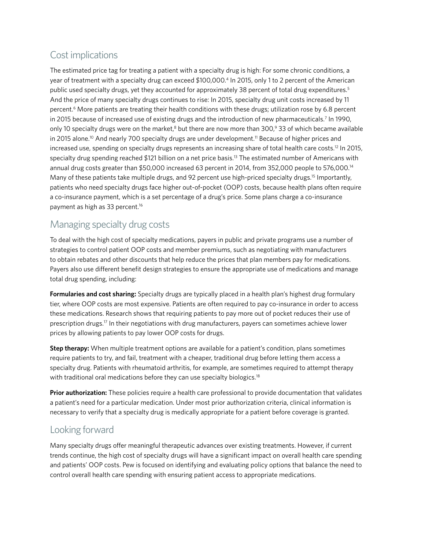## Cost implications

The estimated price tag for treating a patient with a specialty drug is high: For some chronic conditions, a year of treatment with a specialty drug can exceed \$100,000.<sup>4</sup> In 2015, only 1 to 2 percent of the American public used specialty drugs, yet they accounted for approximately 38 percent of total drug expenditures.<sup>5</sup> And the price of many specialty drugs continues to rise: In 2015, specialty drug unit costs increased by 11 percent.<sup>6</sup> More patients are treating their health conditions with these drugs; utilization rose by 6.8 percent in 2015 because of increased use of existing drugs and the introduction of new pharmaceuticals.<sup>7</sup> In 1990, only 10 specialty drugs were on the market,<sup>8</sup> but there are now more than 300,<sup>9</sup> 33 of which became available in 2015 alone.<sup>10</sup> And nearly 700 specialty drugs are under development.<sup>11</sup> Because of higher prices and increased use, spending on specialty drugs represents an increasing share of total health care costs.<sup>12</sup> In 2015, specialty drug spending reached \$121 billion on a net price basis.<sup>13</sup> The estimated number of Americans with annual drug costs greater than \$50,000 increased 63 percent in 2014, from 352,000 people to 576,000.14 Many of these patients take multiple drugs, and 92 percent use high-priced specialty drugs.<sup>15</sup> Importantly, patients who need specialty drugs face higher out-of-pocket (OOP) costs, because health plans often require a co-insurance payment, which is a set percentage of a drug's price. Some plans charge a co-insurance payment as high as 33 percent.16

#### Managing specialty drug costs

To deal with the high cost of specialty medications, payers in public and private programs use a number of strategies to control patient OOP costs and member premiums, such as negotiating with manufacturers to obtain rebates and other discounts that help reduce the prices that plan members pay for medications. Payers also use different benefit design strategies to ensure the appropriate use of medications and manage total drug spending, including:

**Formularies and cost sharing:** Specialty drugs are typically placed in a health plan's highest drug formulary tier, where OOP costs are most expensive. Patients are often required to pay co-insurance in order to access these medications. Research shows that requiring patients to pay more out of pocket reduces their use of prescription drugs.17 In their negotiations with drug manufacturers, payers can sometimes achieve lower prices by allowing patients to pay lower OOP costs for drugs.

**Step therapy:** When multiple treatment options are available for a patient's condition, plans sometimes require patients to try, and fail, treatment with a cheaper, traditional drug before letting them access a specialty drug. Patients with rheumatoid arthritis, for example, are sometimes required to attempt therapy with traditional oral medications before they can use specialty biologics.<sup>18</sup>

**Prior authorization:** These policies require a health care professional to provide documentation that validates a patient's need for a particular medication. Under most prior authorization criteria, clinical information is necessary to verify that a specialty drug is medically appropriate for a patient before coverage is granted.

#### Looking forward

Many specialty drugs offer meaningful therapeutic advances over existing treatments. However, if current trends continue, the high cost of specialty drugs will have a significant impact on overall health care spending and patients' OOP costs. Pew is focused on identifying and evaluating policy options that balance the need to control overall health care spending with ensuring patient access to appropriate medications.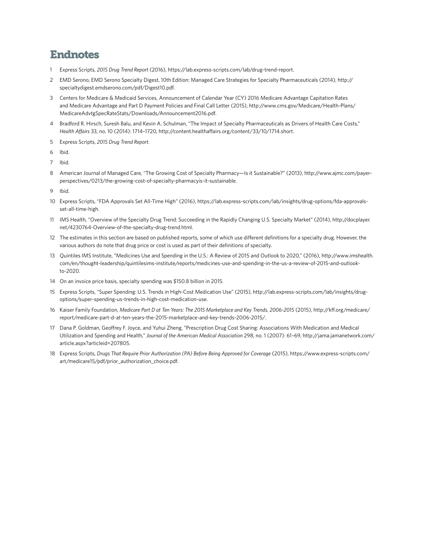### Endnotes

- 1 Express Scripts, *2015 Drug Trend Report* (2016),<https://lab.express-scripts.com/lab/drug-trend-report>.
- 2 EMD Serono, EMD Serono Specialty Digest, 10th Edition: Managed Care Strategies for Specialty Pharmaceuticals (2014), [http://](http://specialtydigest.emdserono.com/pdf/Digest10.pdf) [specialtydigest.emdserono.com/pdf/Digest10.pdf](http://specialtydigest.emdserono.com/pdf/Digest10.pdf).
- 3 Centers for Medicare & Medicaid Services, Announcement of Calendar Year (CY) 2016 Medicare Advantage Capitation Rates and Medicare Advantage and Part D Payment Policies and Final Call Letter (2015), [http://www.cms.gov/Medicare/Health-Plans/](http://www.cms.gov/Medicare/Health-Plans/MedicareAdvtgSpecRateStats/Downloads/Announcement2016.pdf) [MedicareAdvtgSpecRateStats/Downloads/Announcement2016.pdf](http://www.cms.gov/Medicare/Health-Plans/MedicareAdvtgSpecRateStats/Downloads/Announcement2016.pdf).
- 4 Bradford R. Hirsch, Suresh Balu, and Kevin A. Schulman, "The Impact of Specialty Pharmaceuticals as Drivers of Health Care Costs," *Health Affairs* 33, no. 10 (2014): 1714–1720, <http://content.healthaffairs.org/content/33/10/1714.short>.
- 5 Express Scripts, *2015 Drug Trend Report.*
- 6 Ibid.
- 7 Ibid.
- 8 American Journal of Managed Care, "The Growing Cost of Specialty Pharmacy—Is it Sustainable?" (2013), [http://www.ajmc.com/payer](http://www.ajmc.com/payer-perspectives/0213/the-growing-cost-of-specialty-pharmacyis-it-sustainable)[perspectives/0213/the-growing-cost-of-specialty-pharmacyis-it-sustainable.](http://www.ajmc.com/payer-perspectives/0213/the-growing-cost-of-specialty-pharmacyis-it-sustainable)
- 9 Ibid.
- 10 Express Scripts, "FDA Approvals Set All-Time High" (2016), [https://lab.express-scripts.com/lab/insights/drug-options/fda-approvals](https://lab.express-scripts.com/lab/insights/drug-options/fda-approvals-set-all-time-high)[set-all-time-high.](https://lab.express-scripts.com/lab/insights/drug-options/fda-approvals-set-all-time-high)
- 11 IMS Health, "Overview of the Specialty Drug Trend: Succeeding in the Rapidly Changing U.S. Specialty Market" (2014), [http://docplayer.](http://docplayer.net/4230764-Overview-of-the-specialty-drug-trend.html) [net/4230764-Overview-of-the-specialty-drug-trend.html.](http://docplayer.net/4230764-Overview-of-the-specialty-drug-trend.html)
- 12 The estimates in this section are based on published reports, some of which use different definitions for a specialty drug. However, the various authors do note that drug price or cost is used as part of their definitions of specialty.
- 13 Quintiles IMS Institute, "Medicines Use and Spending in the U.S.: A Review of 2015 and Outlook to 2020," (2016), [http://www.imshealth.](http://www.imshealth.com/en/thought-leadership/quintilesims-institute/reports/medicines-use-and-spending-in-the-us-a-review-of-2015-and-outlook-to-2020) [com/en/thought-leadership/quintilesims-institute/reports/medicines-use-and-spending-in-the-us-a-review-of-2015-and-outlook](http://www.imshealth.com/en/thought-leadership/quintilesims-institute/reports/medicines-use-and-spending-in-the-us-a-review-of-2015-and-outlook-to-2020)[to-2020.](http://www.imshealth.com/en/thought-leadership/quintilesims-institute/reports/medicines-use-and-spending-in-the-us-a-review-of-2015-and-outlook-to-2020)
- 14 On an invoice price basis, specialty spending was \$150.8 billion in 2015.
- 15 Express Scripts, "Super Spending: U.S. Trends in High-Cost Medication Use" (2015), [http://lab.express-scripts.com/lab/insights/drug](http://lab.express-scripts.com/lab/insights/drug-options/super-spending-us-trends-in-high-cost-medication-use)[options/super-spending-us-trends-in-high-cost-medication-use.](http://lab.express-scripts.com/lab/insights/drug-options/super-spending-us-trends-in-high-cost-medication-use)
- 16 Kaiser Family Foundation, *Medicare Part D at Ten Years: The 2015 Marketplace and Key Trends, 2006-2015* (2015), [http://kff.org/medicare/](http://kff.org/medicare/report/medicare-part-d-at-ten-years-the-2015-marketplace-and-key-trends-2006) [report/medicare-part-d-at-ten-years-the-2015-marketplace-and-key-trends-2006-2015/](http://kff.org/medicare/report/medicare-part-d-at-ten-years-the-2015-marketplace-and-key-trends-2006).
- 17 Dana P. Goldman, Geoffrey F. Joyce, and Yuhui Zheng, "Prescription Drug Cost Sharing: Associations With Medication and Medical Utilization and Spending and Health," *Journal of the American Medical Association* 298, no. 1 (2007): 61–69, [http://jama.jamanetwork.com/](http://jama.jamanetwork.com/article.aspx?articleid=207805.) [article.aspx?articleid=207805.](http://jama.jamanetwork.com/article.aspx?articleid=207805.)
- 18 Express Scripts, *Drugs That Require Prior Authorization (PA) Before Being Approved for Coverage* (2015), [https://www.express-scripts.com/](https://www.express-scripts.com/art/medicare15/pdf/prior_authorization_choice.pdf) [art/medicare15/pdf/prior\\_authorization\\_choice.pdf.](https://www.express-scripts.com/art/medicare15/pdf/prior_authorization_choice.pdf)